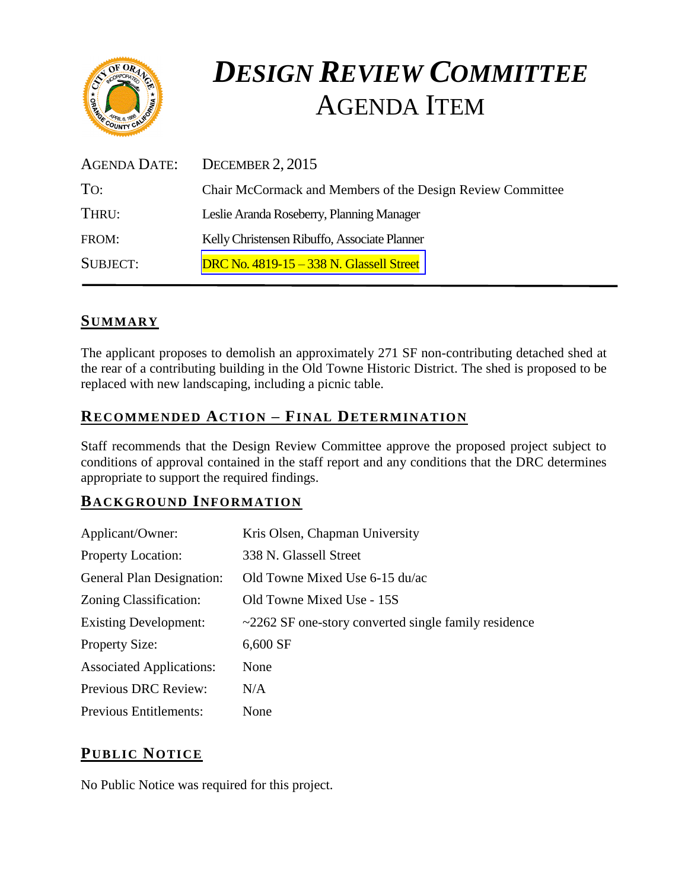

# *DESIGN REVIEW COMMITTEE*  AGENDA ITEM

| AGENDA DATE:    | DECEMBER 2, 2015                                           |
|-----------------|------------------------------------------------------------|
| TO:             | Chair McCormack and Members of the Design Review Committee |
| THRU:           | Leslie Aranda Roseberry, Planning Manager                  |
| FROM:           | Kelly Christensen Ribuffo, Associate Planner               |
| <b>SUBJECT:</b> | <b>DRC No. 4819-15 - 338 N. Glassell Street</b>            |

# **SUMMARY**

The applicant proposes to demolish an approximately 271 SF non-contributing detached shed at the rear of a contributing building in the Old Towne Historic District. The shed is proposed to be replaced with new landscaping, including a picnic table.

# **RECOMMENDED ACTION – FINAL DETERMINATION**

Staff recommends that the Design Review Committee approve the proposed project subject to conditions of approval contained in the staff report and any conditions that the DRC determines appropriate to support the required findings.

#### **BACKGROUND INFORMATION**

| Applicant/Owner:                | Kris Olsen, Chapman University                             |
|---------------------------------|------------------------------------------------------------|
| <b>Property Location:</b>       | 338 N. Glassell Street                                     |
| General Plan Designation:       | Old Towne Mixed Use 6-15 du/ac                             |
| Zoning Classification:          | Old Towne Mixed Use - 15S                                  |
| <b>Existing Development:</b>    | $\sim$ 2262 SF one-story converted single family residence |
| <b>Property Size:</b>           | 6,600 SF                                                   |
| <b>Associated Applications:</b> | None                                                       |
| Previous DRC Review:            | N/A                                                        |
| <b>Previous Entitlements:</b>   | None                                                       |

# **PUB LIC NOTICE**

No Public Notice was required for this project.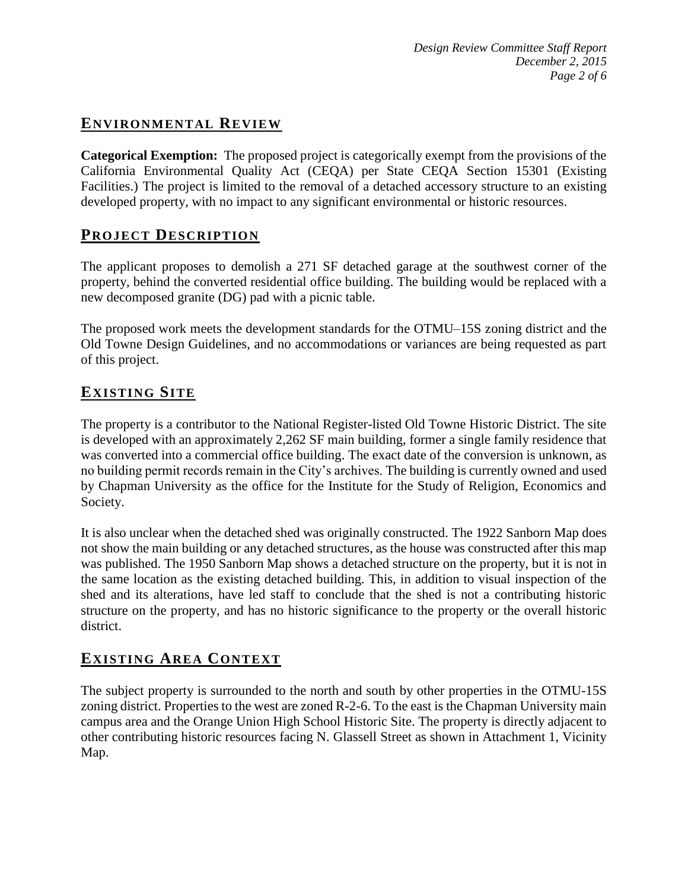# **ENVIRONMENTAL REVIEW**

**Categorical Exemption:** The proposed project is categorically exempt from the provisions of the California Environmental Quality Act (CEQA) per State CEQA Section 15301 (Existing Facilities.) The project is limited to the removal of a detached accessory structure to an existing developed property, with no impact to any significant environmental or historic resources.

# **PROJECT DESCRIP TION**

The applicant proposes to demolish a 271 SF detached garage at the southwest corner of the property, behind the converted residential office building. The building would be replaced with a new decomposed granite (DG) pad with a picnic table.

The proposed work meets the development standards for the OTMU–15S zoning district and the Old Towne Design Guidelines, and no accommodations or variances are being requested as part of this project.

# **EXISTING SITE**

The property is a contributor to the National Register-listed Old Towne Historic District. The site is developed with an approximately 2,262 SF main building, former a single family residence that was converted into a commercial office building. The exact date of the conversion is unknown, as no building permit records remain in the City's archives. The building is currently owned and used by Chapman University as the office for the Institute for the Study of Religion, Economics and Society.

It is also unclear when the detached shed was originally constructed. The 1922 Sanborn Map does not show the main building or any detached structures, as the house was constructed after this map was published. The 1950 Sanborn Map shows a detached structure on the property, but it is not in the same location as the existing detached building. This, in addition to visual inspection of the shed and its alterations, have led staff to conclude that the shed is not a contributing historic structure on the property, and has no historic significance to the property or the overall historic district.

# **EXISTING AREA CONTEXT**

The subject property is surrounded to the north and south by other properties in the OTMU-15S zoning district. Properties to the west are zoned R-2-6. To the east is the Chapman University main campus area and the Orange Union High School Historic Site. The property is directly adjacent to other contributing historic resources facing N. Glassell Street as shown in Attachment 1, Vicinity Map.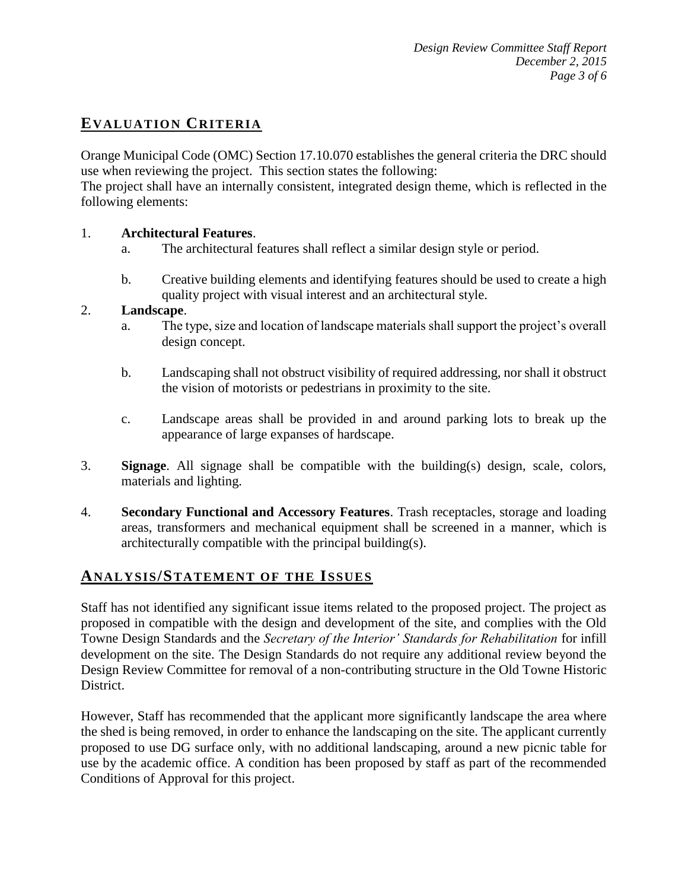# **EVALUATION CRITERIA**

Orange Municipal Code (OMC) Section 17.10.070 establishes the general criteria the DRC should use when reviewing the project. This section states the following:

The project shall have an internally consistent, integrated design theme, which is reflected in the following elements:

#### 1. **Architectural Features**.

- a. The architectural features shall reflect a similar design style or period.
- b. Creative building elements and identifying features should be used to create a high quality project with visual interest and an architectural style.

#### 2. **Landscape**.

- a. The type, size and location of landscape materials shall support the project's overall design concept.
- b. Landscaping shall not obstruct visibility of required addressing, nor shall it obstruct the vision of motorists or pedestrians in proximity to the site.
- c. Landscape areas shall be provided in and around parking lots to break up the appearance of large expanses of hardscape.
- 3. **Signage**. All signage shall be compatible with the building(s) design, scale, colors, materials and lighting.
- 4. **Secondary Functional and Accessory Features**. Trash receptacles, storage and loading areas, transformers and mechanical equipment shall be screened in a manner, which is architecturally compatible with the principal building(s).

#### **ANALY SIS/STATEMENT OF THE ISSUES**

Staff has not identified any significant issue items related to the proposed project. The project as proposed in compatible with the design and development of the site, and complies with the Old Towne Design Standards and the *Secretary of the Interior' Standards for Rehabilitation* for infill development on the site. The Design Standards do not require any additional review beyond the Design Review Committee for removal of a non-contributing structure in the Old Towne Historic District.

However, Staff has recommended that the applicant more significantly landscape the area where the shed is being removed, in order to enhance the landscaping on the site. The applicant currently proposed to use DG surface only, with no additional landscaping, around a new picnic table for use by the academic office. A condition has been proposed by staff as part of the recommended Conditions of Approval for this project.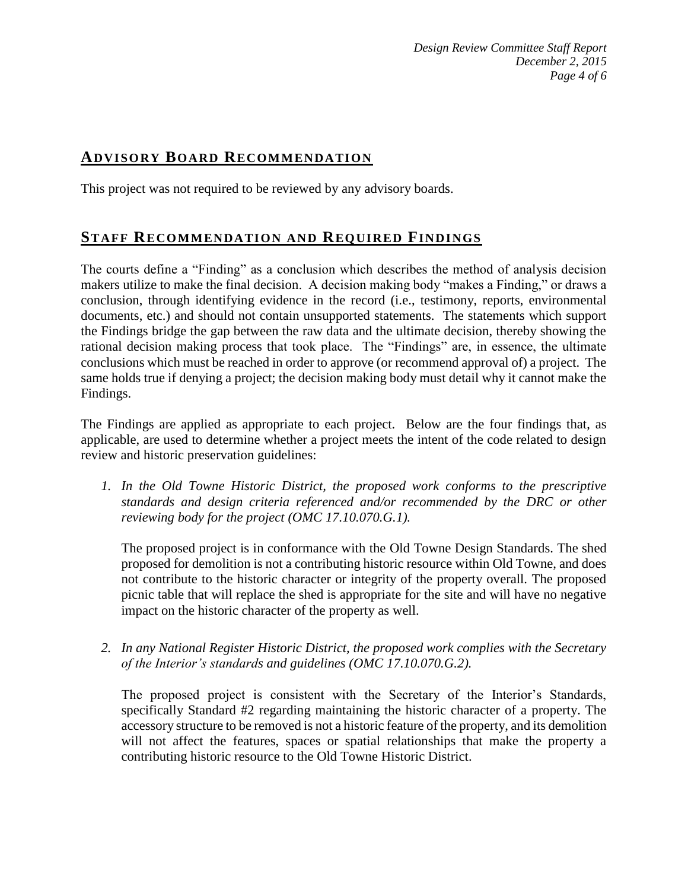# **ADVISORY BOARD RECOMMENDATION**

This project was not required to be reviewed by any advisory boards.

# **STAFF RECOMMENDATION AND REQUIRED FINDINGS**

The courts define a "Finding" as a conclusion which describes the method of analysis decision makers utilize to make the final decision. A decision making body "makes a Finding," or draws a conclusion, through identifying evidence in the record (i.e., testimony, reports, environmental documents, etc.) and should not contain unsupported statements. The statements which support the Findings bridge the gap between the raw data and the ultimate decision, thereby showing the rational decision making process that took place. The "Findings" are, in essence, the ultimate conclusions which must be reached in order to approve (or recommend approval of) a project. The same holds true if denying a project; the decision making body must detail why it cannot make the Findings.

The Findings are applied as appropriate to each project.Below are the four findings that, as applicable, are used to determine whether a project meets the intent of the code related to design review and historic preservation guidelines:

*1. In the Old Towne Historic District, the proposed work conforms to the prescriptive standards and design criteria referenced and/or recommended by the DRC or other reviewing body for the project (OMC 17.10.070.G.1).*

The proposed project is in conformance with the Old Towne Design Standards. The shed proposed for demolition is not a contributing historic resource within Old Towne, and does not contribute to the historic character or integrity of the property overall. The proposed picnic table that will replace the shed is appropriate for the site and will have no negative impact on the historic character of the property as well.

*2. In any National Register Historic District, the proposed work complies with the Secretary of the Interior's standards and guidelines (OMC 17.10.070.G.2).*

The proposed project is consistent with the Secretary of the Interior's Standards, specifically Standard #2 regarding maintaining the historic character of a property. The accessory structure to be removed is not a historic feature of the property, and its demolition will not affect the features, spaces or spatial relationships that make the property a contributing historic resource to the Old Towne Historic District.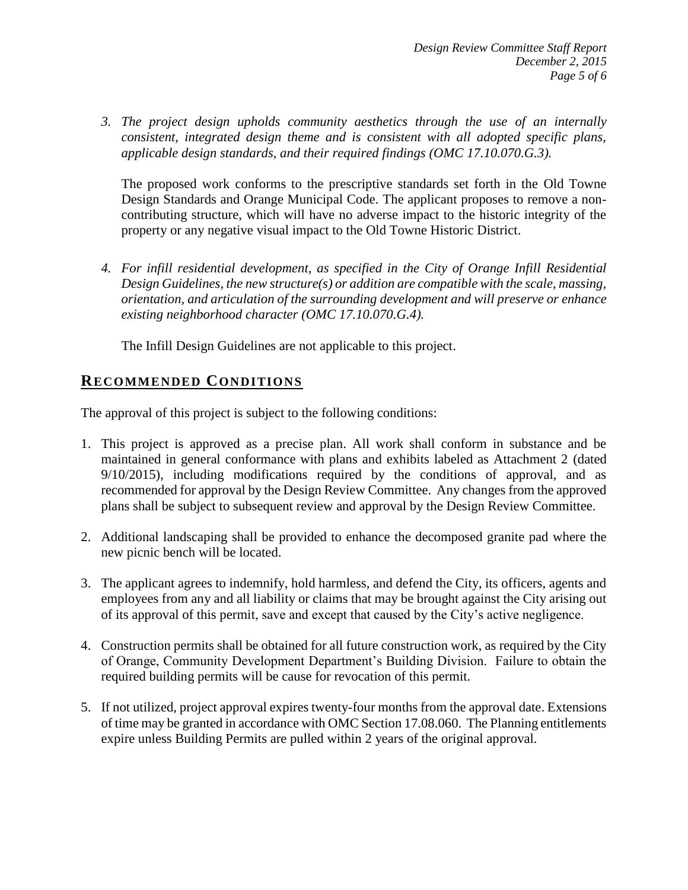*3. The project design upholds community aesthetics through the use of an internally consistent, integrated design theme and is consistent with all adopted specific plans, applicable design standards, and their required findings (OMC 17.10.070.G.3).*

The proposed work conforms to the prescriptive standards set forth in the Old Towne Design Standards and Orange Municipal Code. The applicant proposes to remove a noncontributing structure, which will have no adverse impact to the historic integrity of the property or any negative visual impact to the Old Towne Historic District.

*4. For infill residential development, as specified in the City of Orange Infill Residential Design Guidelines, the new structure(s) or addition are compatible with the scale, massing, orientation, and articulation of the surrounding development and will preserve or enhance existing neighborhood character (OMC 17.10.070.G.4).*

The Infill Design Guidelines are not applicable to this project.

# **RECOMMENDED CONDITIONS**

The approval of this project is subject to the following conditions:

- 1. This project is approved as a precise plan. All work shall conform in substance and be maintained in general conformance with plans and exhibits labeled as Attachment 2 (dated 9/10/2015), including modifications required by the conditions of approval, and as recommended for approval by the Design Review Committee. Any changes from the approved plans shall be subject to subsequent review and approval by the Design Review Committee.
- 2. Additional landscaping shall be provided to enhance the decomposed granite pad where the new picnic bench will be located.
- 3. The applicant agrees to indemnify, hold harmless, and defend the City, its officers, agents and employees from any and all liability or claims that may be brought against the City arising out of its approval of this permit, save and except that caused by the City's active negligence.
- 4. Construction permits shall be obtained for all future construction work, as required by the City of Orange, Community Development Department's Building Division. Failure to obtain the required building permits will be cause for revocation of this permit.
- 5. If not utilized, project approval expires twenty-four months from the approval date. Extensions of time may be granted in accordance with OMC Section 17.08.060. The Planning entitlements expire unless Building Permits are pulled within 2 years of the original approval.